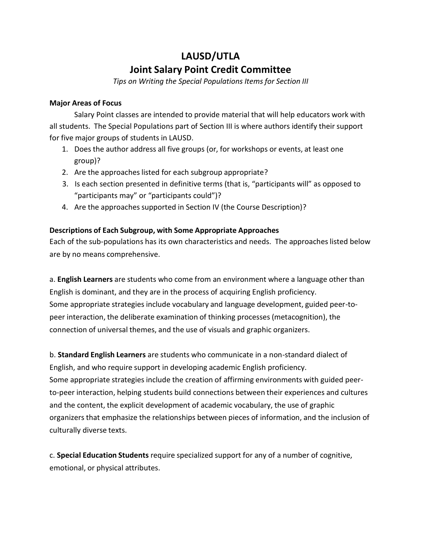## **LAUSD/UTLA Joint Salary Point Credit Committee**

*Tips on Writing the Special Populations Items for Section III*

## **Major Areas of Focus**

Salary Point classes are intended to provide material that will help educators work with all students. The Special Populations part of Section III is where authors identify their support for five major groups of students in LAUSD.

- 1. Does the author address all five groups (or, for workshops or events, at least one group)?
- 2. Are the approaches listed for each subgroup appropriate?
- 3. Is each section presented in definitive terms (that is, "participants will" as opposed to "participants may" or "participants could")?
- 4. Are the approaches supported in Section IV (the Course Description)?

## **Descriptions of Each Subgroup, with Some Appropriate Approaches**

Each of the sub-populations has its own characteristics and needs. The approaches listed below are by no means comprehensive.

a. **English Learners** are students who come from an environment where a language other than English is dominant, and they are in the process of acquiring English proficiency. Some appropriate strategies include vocabulary and language development, guided peer-topeer interaction, the deliberate examination of thinking processes (metacognition), the connection of universal themes, and the use of visuals and graphic organizers.

b. **Standard English Learners** are students who communicate in a non-standard dialect of English, and who require support in developing academic English proficiency. Some appropriate strategies include the creation of affirming environments with guided peerto-peer interaction, helping students build connections between their experiences and cultures and the content, the explicit development of academic vocabulary, the use of graphic organizers that emphasize the relationships between pieces of information, and the inclusion of culturally diverse texts.

c. **Special Education Students** require specialized support for any of a number of cognitive, emotional, or physical attributes.